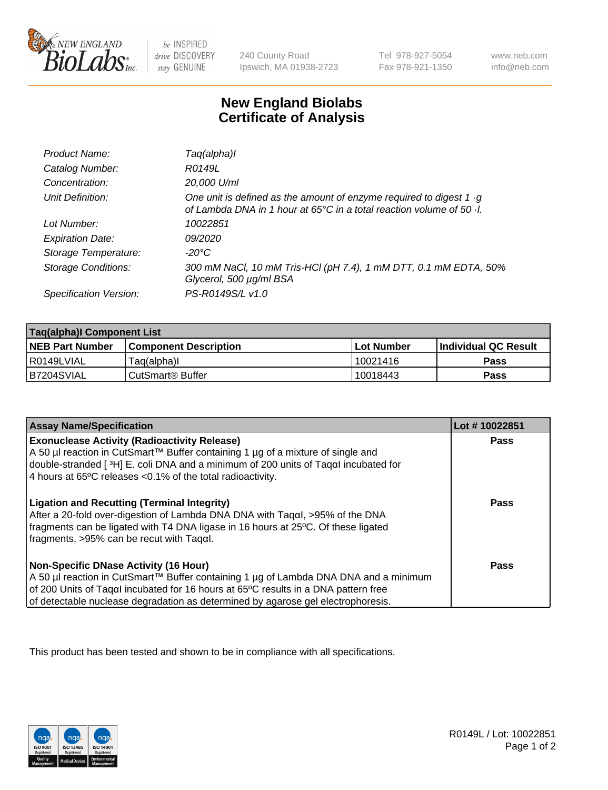

 $be$  INSPIRED drive DISCOVERY stay GENUINE

240 County Road Ipswich, MA 01938-2723 Tel 978-927-5054 Fax 978-921-1350 www.neb.com info@neb.com

## **New England Biolabs Certificate of Analysis**

| Product Name:              | Taq(alpha)I                                                                                                                                                        |
|----------------------------|--------------------------------------------------------------------------------------------------------------------------------------------------------------------|
| Catalog Number:            | R0149L                                                                                                                                                             |
| Concentration:             | 20,000 U/ml                                                                                                                                                        |
| Unit Definition:           | One unit is defined as the amount of enzyme required to digest 1 $\cdot$ g<br>of Lambda DNA in 1 hour at $65^{\circ}$ C in a total reaction volume of 50 $\cdot$ . |
| Lot Number:                | 10022851                                                                                                                                                           |
| <b>Expiration Date:</b>    | <i>09/2020</i>                                                                                                                                                     |
| Storage Temperature:       | -20°C                                                                                                                                                              |
| <b>Storage Conditions:</b> | 300 mM NaCl, 10 mM Tris-HCl (pH 7.4), 1 mM DTT, 0.1 mM EDTA, 50%<br>Glycerol, 500 µg/ml BSA                                                                        |
| Specification Version:     | PS-R0149S/L v1.0                                                                                                                                                   |

| Taq(alpha)I Component List |                              |            |                             |  |
|----------------------------|------------------------------|------------|-----------------------------|--|
| <b>NEB Part Number</b>     | <b>Component Description</b> | Lot Number | <b>Individual QC Result</b> |  |
| I R0149LVIAL               | Taq(alpha)I                  | 10021416   | Pass                        |  |
| B7204SVIAL                 | ⊧CutSmart® Buffer            | 10018443   | Pass                        |  |

| <b>Assay Name/Specification</b>                                                                                                                                   | Lot #10022851 |
|-------------------------------------------------------------------------------------------------------------------------------------------------------------------|---------------|
| <b>Exonuclease Activity (Radioactivity Release)</b><br>A 50 µl reaction in CutSmart™ Buffer containing 1 µg of a mixture of single and                            | Pass          |
| double-stranded [3H] E. coli DNA and a minimum of 200 units of Tagal incubated for                                                                                |               |
| 4 hours at 65°C releases < 0.1% of the total radioactivity.                                                                                                       |               |
| <b>Ligation and Recutting (Terminal Integrity)</b>                                                                                                                | Pass          |
| After a 20-fold over-digestion of Lambda DNA DNA with Tagal, >95% of the DNA<br>fragments can be ligated with T4 DNA ligase in 16 hours at 25°C. Of these ligated |               |
| $\frac{1}{2}$ fragments, >95% can be recut with Tagal.                                                                                                            |               |
| <b>Non-Specific DNase Activity (16 Hour)</b>                                                                                                                      | Pass          |
| A 50 µl reaction in CutSmart™ Buffer containing 1 µg of Lambda DNA DNA and a minimum                                                                              |               |
| of 200 Units of Taqal incubated for 16 hours at 65°C results in a DNA pattern free                                                                                |               |
| of detectable nuclease degradation as determined by agarose gel electrophoresis.                                                                                  |               |

This product has been tested and shown to be in compliance with all specifications.